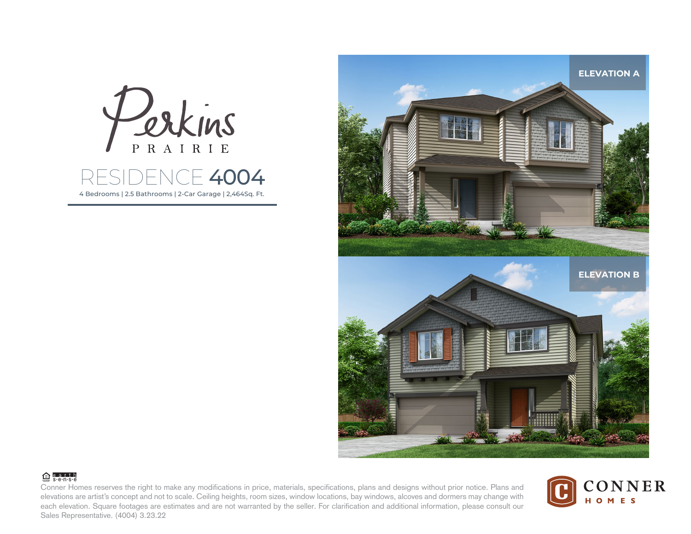

4 Bedrooms | 2.5 Bathrooms | 2-Car Garage | 2,464Sq. Ft.



## **合**earth

Conner Homes reserves the right to make any modifications in price, materials, specifications, plans and designs without prior notice. Plans and elevations are artist's concept and not to scale. Ceiling heights, room sizes, window locations, bay windows, alcoves and dormers may change with each elevation. Square footages are estimates and are not warranted by the seller. For clarification and additional information, please consult our Sales Representative. (4004) 3.23.22